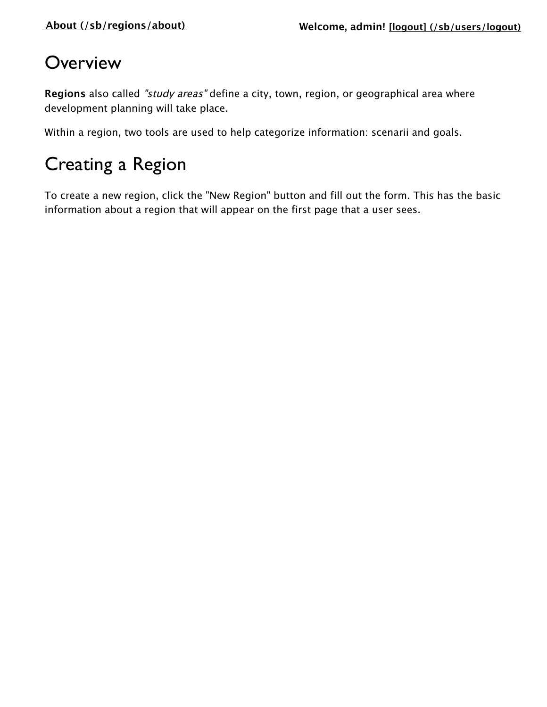# **Overview**

**Regions** also called "study areas" define a city, town, region, or geographical area where development planning will take place.

Within a region, two tools are used to help categorize information: scenarii and goals.

# Creating a Region

To create a new region, click the "New Region" button and fill out the form. This has the basic information about a region that will appear on the first page that a user sees.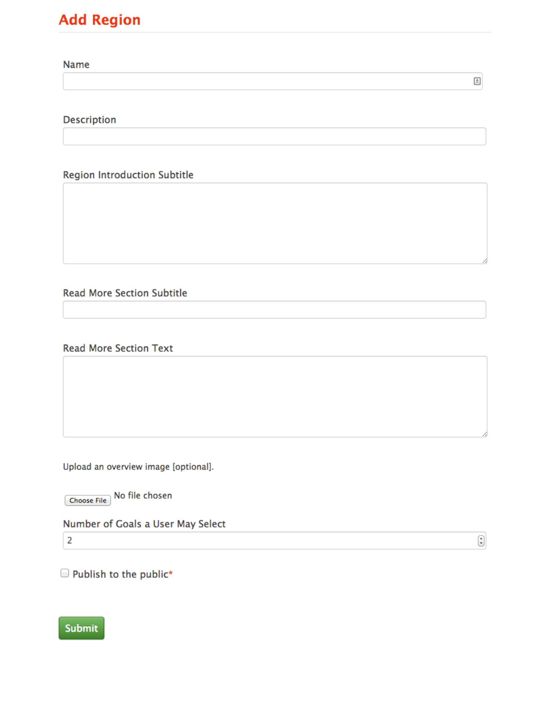### **Add Region**

**Name** 

Description

**Region Introduction Subtitle** 

**Read More Section Subtitle** 

**Read More Section Text** 

Upload an overview image [optional].

Choose File No file chosen

Number of Goals a User May Select

 $\overline{2}$ 

 $\bigodot$ 

 $\ensuremath{\boxplus}$ 

Publish to the public\*

Submit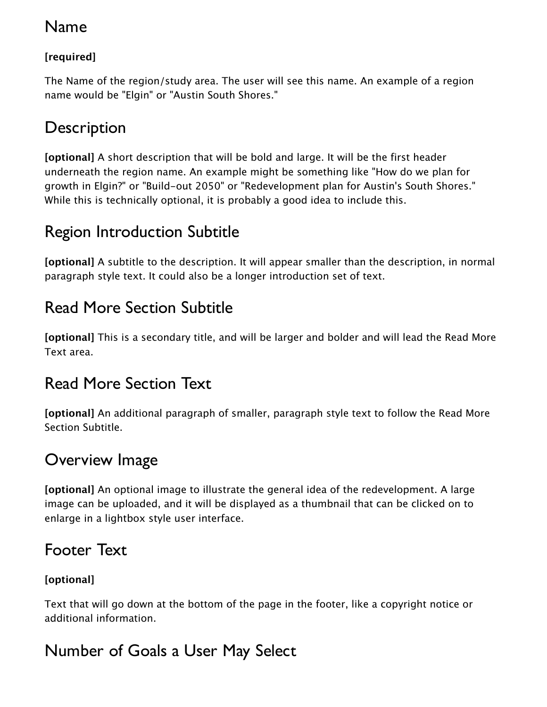### Name

#### **[required]**

The Name of the region/study area. The user will see this name. An example of a region name would be "Elgin" or "Austin South Shores."

# **Description**

**[optional]** A short description that will be bold and large. It will be the first header underneath the region name. An example might be something like "How do we plan for growth in Elgin?" or "Build-out 2050" or "Redevelopment plan for Austin's South Shores." While this is technically optional, it is probably a good idea to include this.

# Region Introduction Subtitle

**[optional]** A subtitle to the description. It will appear smaller than the description, in normal paragraph style text. It could also be a longer introduction set of text.

# Read More Section Subtitle

**[optional]** This is a secondary title, and will be larger and bolder and will lead the Read More Text area.

# Read More Section Text

**[optional]** An additional paragraph of smaller, paragraph style text to follow the Read More Section Subtitle.

# Overview Image

**[optional]** An optional image to illustrate the general idea of the redevelopment. A large image can be uploaded, and it will be displayed as a thumbnail that can be clicked on to enlarge in a lightbox style user interface.

## Footer Text

#### **[optional]**

Text that will go down at the bottom of the page in the footer, like a copyright notice or additional information.

# Number of Goals a User May Select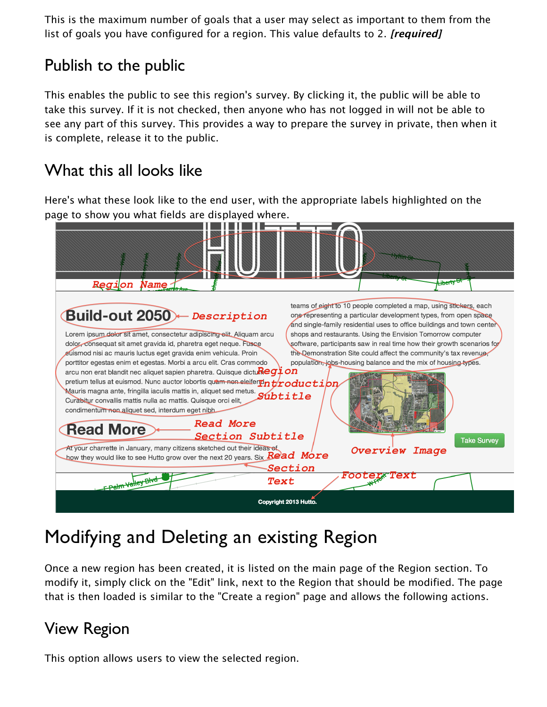This is the maximum number of goals that a user may select as important to them from the list of goals you have configured for a region. This value defaults to 2. **[required]**

# Publish to the public

This enables the public to see this region's survey. By clicking it, the public will be able to take this survey. If it is not checked, then anyone who has not logged in will not be able to see any part of this survey. This provides a way to prepare the survey in private, then when it is complete, release it to the public.

## What this all looks like

Here's what these look like to the end user, with the appropriate labels highlighted on the page to show you what fields are displayed where.

| Region Name                                                                                                                                                                                                                                                                                                                                                                                                                                                                                                                                                                                                                                                                                                                                                                                                                                                                                                                                                                                                                 | <del>iberty St</del>                                                                                                                                                                                                                                                                                                                                                                                                                                                                                                                                                |
|-----------------------------------------------------------------------------------------------------------------------------------------------------------------------------------------------------------------------------------------------------------------------------------------------------------------------------------------------------------------------------------------------------------------------------------------------------------------------------------------------------------------------------------------------------------------------------------------------------------------------------------------------------------------------------------------------------------------------------------------------------------------------------------------------------------------------------------------------------------------------------------------------------------------------------------------------------------------------------------------------------------------------------|---------------------------------------------------------------------------------------------------------------------------------------------------------------------------------------------------------------------------------------------------------------------------------------------------------------------------------------------------------------------------------------------------------------------------------------------------------------------------------------------------------------------------------------------------------------------|
| Build-out 2050 - Description<br>Lorem ipsum delor sit amet, consectetur adipiscing elit. Aliquam arcu<br>dolor, consequat sit amet gravida id, pharetra eget neque. Fusce<br>euismod nisi ac mauris luctus eget gravida enim vehicula. Proin<br>porttitor egestas enim et egestas. Morbi a arcu elit. Cras commodo<br>arcu non erat blandit nec aliquet sapien pharetra. Quisque dictu $\mathbb{R}$ egion<br>pretium tellus at euismod. Nunc auctor lobortis quam non eleifer $\operatorname{\mathbb{F}n}$ $\operatorname{\mathbb{t}r}$ o $\operatorname{ductipn}$<br>Mauris magna ante, fringilla iaculis mattis in, aliquet sed metus. Subtitle<br>Curabitur convallis mattis nulla ac mattis. Quisque orci elit,<br>condimentum non aliquet sed, interdum eget nibh.<br><b>Read More</b><br><b>Read More</b><br><b>Section Subtitle</b><br>At your charrette in January, many citizens sketched out their ideas of<br>how they would like to see Hutto grow over the next 20 years. Six $\overline{Red~More}$<br>Section | teams of eight to 10 people completed a map, using stickers, each<br>one representing a particular development types, from open space<br>and single-family residential uses to office buildings and town center<br>shops and restaurants. Using the Envision Tomorrow computer<br>software, participants saw in real time how their growth scenarios for<br>the Demonstration Site could affect the community's tax revenue,<br>population, jobs-housing balance and the mix of housing types.<br><b>Take Survey</b><br><b>Overview Image</b><br><i>Footer*Text</i> |
| FPalm Valley Blvd<br>Text<br>Copyright 2013 Hutto.                                                                                                                                                                                                                                                                                                                                                                                                                                                                                                                                                                                                                                                                                                                                                                                                                                                                                                                                                                          |                                                                                                                                                                                                                                                                                                                                                                                                                                                                                                                                                                     |

# Modifying and Deleting an existing Region

Once a new region has been created, it is listed on the main page of the Region section. To modify it, simply click on the "Edit" link, next to the Region that should be modified. The page that is then loaded is similar to the "Create a region" page and allows the following actions.

# View Region

This option allows users to view the selected region.